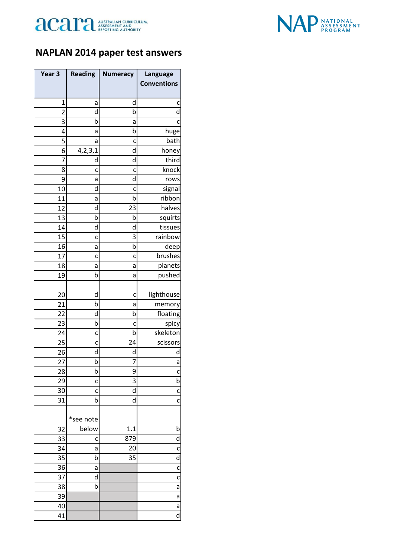



## **NAPLAN 2014 paper test answers**

| Year <sub>3</sub> | <b>Reading</b>     | <b>Numeracy</b> | Language           |
|-------------------|--------------------|-----------------|--------------------|
|                   |                    |                 | <b>Conventions</b> |
|                   |                    |                 |                    |
| 1                 | a                  | d               | c                  |
| $\overline{2}$    | d                  | b               | d                  |
| 3                 | b                  | а               | c                  |
| 4                 | а                  | b               | huge               |
| 5                 | а                  | c               | bath               |
| 6                 | 4, 2, 3, 1         | d               | honey              |
| 7                 | d                  | d               | third<br>knock     |
| 8<br>9            | c                  | c<br>d          | rows               |
| 10                | а<br>d             |                 |                    |
| 11                | a                  | c<br>b          | signal<br>ribbon   |
| 12                | d                  | 23              | halves             |
| 13                | b                  | b               | squirts            |
| 14                | d                  | d               | tissues            |
| 15                | c                  | 3               | rainbow            |
| 16                | а                  | b               | deep               |
| 17                | c                  | c               | brushes            |
| 18                | a                  | а               | planets            |
| 19                | b                  | а               | pushed             |
|                   |                    |                 |                    |
| 20                | d                  | c               | lighthouse         |
| 21                | b                  | а               | memory             |
| 22                | d                  | b               | floating           |
| 23                | b                  | c               | spicy              |
| 24                | C                  | b               | skeleton           |
| 25                | c                  | 24              | scissors           |
| 26                | d                  | d               | d                  |
| 27                | þ                  | 7               | a                  |
| 28                | b                  | 9               | c                  |
| 29                | c                  | 3               | b                  |
| 30                | c                  | d               | C                  |
| 31                | b                  | d               | $\mathbf c$        |
|                   |                    |                 |                    |
|                   | *see note<br>below |                 |                    |
| 32                |                    | 1.1             | b                  |
| 33<br>34          | c                  | 879<br>20       | d                  |
| 35                | a<br>b             | 35              | C<br>d             |
| 36                | а                  |                 | C                  |
| 37                | d                  |                 | C                  |
| 38                | þ                  |                 | a                  |
| 39                |                    |                 | a                  |
| 40                |                    |                 | a                  |
| 41                |                    |                 | d                  |
|                   |                    |                 |                    |